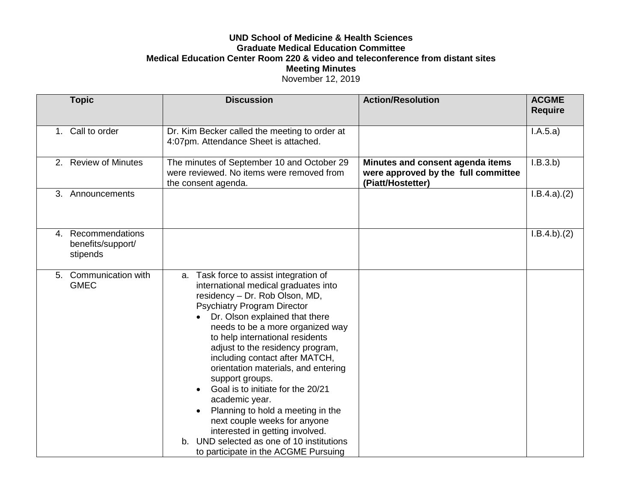## **UND School of Medicine & Health Sciences Graduate Medical Education Committee Medical Education Center Room 220 & video and teleconference from distant sites Meeting Minutes** November 12, 2019

|    | <b>Topic</b>                                     | <b>Discussion</b>                                                                                                                                                                                                                                                                                                                                                                                                                                                                                                                                                                                                                                      | <b>Action/Resolution</b>                                                                     | <b>ACGME</b><br><b>Require</b> |
|----|--------------------------------------------------|--------------------------------------------------------------------------------------------------------------------------------------------------------------------------------------------------------------------------------------------------------------------------------------------------------------------------------------------------------------------------------------------------------------------------------------------------------------------------------------------------------------------------------------------------------------------------------------------------------------------------------------------------------|----------------------------------------------------------------------------------------------|--------------------------------|
|    | 1. Call to order                                 | Dr. Kim Becker called the meeting to order at<br>4:07pm. Attendance Sheet is attached.                                                                                                                                                                                                                                                                                                                                                                                                                                                                                                                                                                 |                                                                                              | I.A.5.a)                       |
|    | 2. Review of Minutes                             | The minutes of September 10 and October 29<br>were reviewed. No items were removed from<br>the consent agenda.                                                                                                                                                                                                                                                                                                                                                                                                                                                                                                                                         | Minutes and consent agenda items<br>were approved by the full committee<br>(Piatt/Hostetter) | I.B.3.b)                       |
| 3. | Announcements                                    |                                                                                                                                                                                                                                                                                                                                                                                                                                                                                                                                                                                                                                                        |                                                                                              | I.B.4.a)(2)                    |
| 4. | Recommendations<br>benefits/support/<br>stipends |                                                                                                                                                                                                                                                                                                                                                                                                                                                                                                                                                                                                                                                        |                                                                                              | I.B.4.b)(2)                    |
| 5. | Communication with<br><b>GMEC</b>                | Task force to assist integration of<br>a.<br>international medical graduates into<br>residency - Dr. Rob Olson, MD,<br><b>Psychiatry Program Director</b><br>Dr. Olson explained that there<br>needs to be a more organized way<br>to help international residents<br>adjust to the residency program,<br>including contact after MATCH,<br>orientation materials, and entering<br>support groups.<br>Goal is to initiate for the 20/21<br>academic year.<br>Planning to hold a meeting in the<br>next couple weeks for anyone<br>interested in getting involved.<br>b. UND selected as one of 10 institutions<br>to participate in the ACGME Pursuing |                                                                                              |                                |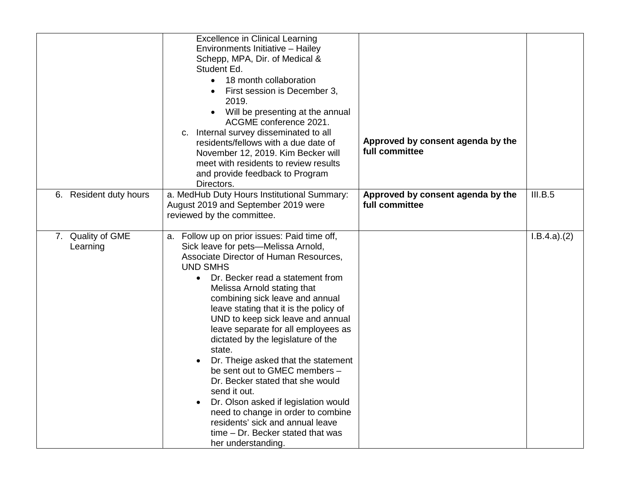|                               | <b>Excellence in Clinical Learning</b><br>Environments Initiative - Hailey<br>Schepp, MPA, Dir. of Medical &<br>Student Ed.<br>• 18 month collaboration<br>First session is December 3,<br>2019.<br>Will be presenting at the annual<br>ACGME conference 2021.<br>c. Internal survey disseminated to all<br>residents/fellows with a due date of<br>November 12, 2019. Kim Becker will<br>meet with residents to review results<br>and provide feedback to Program<br>Directors.                                                                                                                                                                                                                                                                   | Approved by consent agenda by the<br>full committee |             |
|-------------------------------|----------------------------------------------------------------------------------------------------------------------------------------------------------------------------------------------------------------------------------------------------------------------------------------------------------------------------------------------------------------------------------------------------------------------------------------------------------------------------------------------------------------------------------------------------------------------------------------------------------------------------------------------------------------------------------------------------------------------------------------------------|-----------------------------------------------------|-------------|
| 6. Resident duty hours        | a. MedHub Duty Hours Institutional Summary:<br>August 2019 and September 2019 were<br>reviewed by the committee.                                                                                                                                                                                                                                                                                                                                                                                                                                                                                                                                                                                                                                   | Approved by consent agenda by the<br>full committee | III.B.5     |
| 7. Quality of GME<br>Learning | a. Follow up on prior issues: Paid time off,<br>Sick leave for pets-Melissa Arnold,<br>Associate Director of Human Resources,<br><b>UND SMHS</b><br>Dr. Becker read a statement from<br>Melissa Arnold stating that<br>combining sick leave and annual<br>leave stating that it is the policy of<br>UND to keep sick leave and annual<br>leave separate for all employees as<br>dictated by the legislature of the<br>state.<br>Dr. Theige asked that the statement<br>be sent out to GMEC members -<br>Dr. Becker stated that she would<br>send it out.<br>Dr. Olson asked if legislation would<br>$\bullet$<br>need to change in order to combine<br>residents' sick and annual leave<br>time - Dr. Becker stated that was<br>her understanding. |                                                     | I.B.4.a)(2) |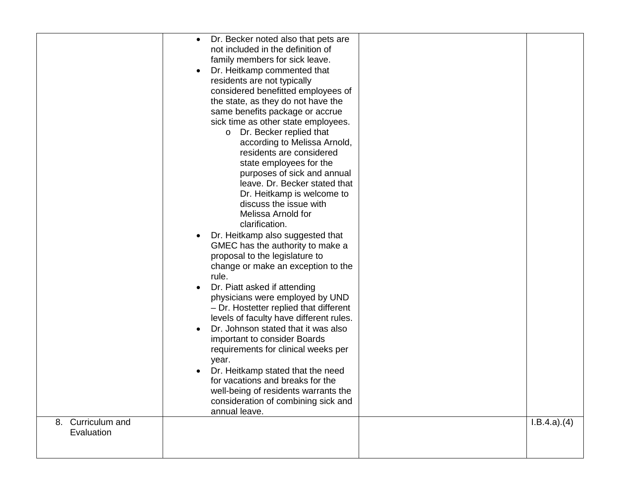| 8. Curriculum and<br>Evaluation | Dr. Becker noted also that pets are<br>$\bullet$<br>not included in the definition of<br>family members for sick leave.<br>Dr. Heitkamp commented that<br>residents are not typically<br>considered benefitted employees of<br>the state, as they do not have the<br>same benefits package or accrue<br>sick time as other state employees.<br>o Dr. Becker replied that<br>according to Melissa Arnold,<br>residents are considered<br>state employees for the<br>purposes of sick and annual<br>leave. Dr. Becker stated that<br>Dr. Heitkamp is welcome to<br>discuss the issue with<br>Melissa Arnold for<br>clarification.<br>Dr. Heitkamp also suggested that<br>GMEC has the authority to make a<br>proposal to the legislature to<br>change or make an exception to the<br>rule.<br>Dr. Piatt asked if attending<br>physicians were employed by UND<br>- Dr. Hostetter replied that different<br>levels of faculty have different rules.<br>Dr. Johnson stated that it was also<br>important to consider Boards<br>requirements for clinical weeks per<br>year.<br>Dr. Heitkamp stated that the need<br>for vacations and breaks for the<br>well-being of residents warrants the<br>consideration of combining sick and<br>annual leave. | I.B.4.a)(4) |
|---------------------------------|--------------------------------------------------------------------------------------------------------------------------------------------------------------------------------------------------------------------------------------------------------------------------------------------------------------------------------------------------------------------------------------------------------------------------------------------------------------------------------------------------------------------------------------------------------------------------------------------------------------------------------------------------------------------------------------------------------------------------------------------------------------------------------------------------------------------------------------------------------------------------------------------------------------------------------------------------------------------------------------------------------------------------------------------------------------------------------------------------------------------------------------------------------------------------------------------------------------------------------------------------|-------------|
|                                 |                                                                                                                                                                                                                                                                                                                                                                                                                                                                                                                                                                                                                                                                                                                                                                                                                                                                                                                                                                                                                                                                                                                                                                                                                                                  |             |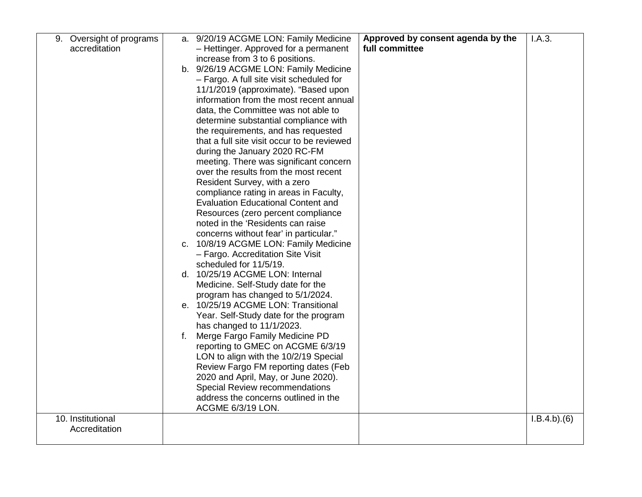| 9. Oversight of programs |              | a. 9/20/19 ACGME LON: Family Medicine       | Approved by consent agenda by the | I.A.3.      |
|--------------------------|--------------|---------------------------------------------|-----------------------------------|-------------|
| accreditation            |              | - Hettinger. Approved for a permanent       | full committee                    |             |
|                          |              | increase from 3 to 6 positions.             |                                   |             |
|                          |              | b. 9/26/19 ACGME LON: Family Medicine       |                                   |             |
|                          |              | - Fargo. A full site visit scheduled for    |                                   |             |
|                          |              | 11/1/2019 (approximate). "Based upon        |                                   |             |
|                          |              | information from the most recent annual     |                                   |             |
|                          |              | data, the Committee was not able to         |                                   |             |
|                          |              | determine substantial compliance with       |                                   |             |
|                          |              | the requirements, and has requested         |                                   |             |
|                          |              | that a full site visit occur to be reviewed |                                   |             |
|                          |              | during the January 2020 RC-FM               |                                   |             |
|                          |              | meeting. There was significant concern      |                                   |             |
|                          |              | over the results from the most recent       |                                   |             |
|                          |              | Resident Survey, with a zero                |                                   |             |
|                          |              | compliance rating in areas in Faculty,      |                                   |             |
|                          |              | <b>Evaluation Educational Content and</b>   |                                   |             |
|                          |              | Resources (zero percent compliance          |                                   |             |
|                          |              | noted in the 'Residents can raise           |                                   |             |
|                          |              | concerns without fear' in particular."      |                                   |             |
|                          |              | c. 10/8/19 ACGME LON: Family Medicine       |                                   |             |
|                          |              | - Fargo. Accreditation Site Visit           |                                   |             |
|                          |              | scheduled for 11/5/19.                      |                                   |             |
|                          |              | d. 10/25/19 ACGME LON: Internal             |                                   |             |
|                          |              | Medicine. Self-Study date for the           |                                   |             |
|                          |              | program has changed to 5/1/2024.            |                                   |             |
|                          |              | e. 10/25/19 ACGME LON: Transitional         |                                   |             |
|                          |              | Year. Self-Study date for the program       |                                   |             |
|                          |              | has changed to 11/1/2023.                   |                                   |             |
|                          | $f_{\rm{r}}$ | Merge Fargo Family Medicine PD              |                                   |             |
|                          |              | reporting to GMEC on ACGME 6/3/19           |                                   |             |
|                          |              | LON to align with the 10/2/19 Special       |                                   |             |
|                          |              | Review Fargo FM reporting dates (Feb        |                                   |             |
|                          |              | 2020 and April, May, or June 2020).         |                                   |             |
|                          |              | Special Review recommendations              |                                   |             |
|                          |              | address the concerns outlined in the        |                                   |             |
| 10. Institutional        |              | ACGME 6/3/19 LON.                           |                                   | I.B.4.b)(6) |
| Accreditation            |              |                                             |                                   |             |
|                          |              |                                             |                                   |             |
|                          |              |                                             |                                   |             |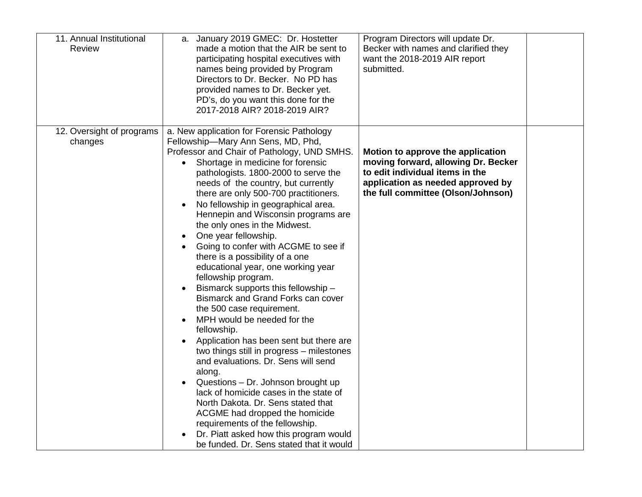| 11. Annual Institutional<br><b>Review</b> | a. January 2019 GMEC: Dr. Hostetter<br>made a motion that the AIR be sent to<br>participating hospital executives with<br>names being provided by Program<br>Directors to Dr. Becker. No PD has<br>provided names to Dr. Becker yet.<br>PD's, do you want this done for the<br>2017-2018 AIR? 2018-2019 AIR?                                                                                                                                                                                                                                                                                                                                                                                                                                                                                                                                                                                                                                                                                                                                                                                                                                                              | Program Directors will update Dr.<br>Becker with names and clarified they<br>want the 2018-2019 AIR report<br>submitted.                                                               |  |
|-------------------------------------------|---------------------------------------------------------------------------------------------------------------------------------------------------------------------------------------------------------------------------------------------------------------------------------------------------------------------------------------------------------------------------------------------------------------------------------------------------------------------------------------------------------------------------------------------------------------------------------------------------------------------------------------------------------------------------------------------------------------------------------------------------------------------------------------------------------------------------------------------------------------------------------------------------------------------------------------------------------------------------------------------------------------------------------------------------------------------------------------------------------------------------------------------------------------------------|----------------------------------------------------------------------------------------------------------------------------------------------------------------------------------------|--|
| 12. Oversight of programs<br>changes      | a. New application for Forensic Pathology<br>Fellowship-Mary Ann Sens, MD, Phd,<br>Professor and Chair of Pathology, UND SMHS.<br>Shortage in medicine for forensic<br>$\bullet$<br>pathologists. 1800-2000 to serve the<br>needs of the country, but currently<br>there are only 500-700 practitioners.<br>No fellowship in geographical area.<br>Hennepin and Wisconsin programs are<br>the only ones in the Midwest.<br>One year fellowship.<br>Going to confer with ACGME to see if<br>there is a possibility of a one<br>educational year, one working year<br>fellowship program.<br>Bismarck supports this fellowship -<br>Bismarck and Grand Forks can cover<br>the 500 case requirement.<br>MPH would be needed for the<br>fellowship.<br>Application has been sent but there are<br>two things still in progress - milestones<br>and evaluations. Dr. Sens will send<br>along.<br>Questions - Dr. Johnson brought up<br>lack of homicide cases in the state of<br>North Dakota. Dr. Sens stated that<br>ACGME had dropped the homicide<br>requirements of the fellowship.<br>Dr. Piatt asked how this program would<br>be funded. Dr. Sens stated that it would | Motion to approve the application<br>moving forward, allowing Dr. Becker<br>to edit individual items in the<br>application as needed approved by<br>the full committee (Olson/Johnson) |  |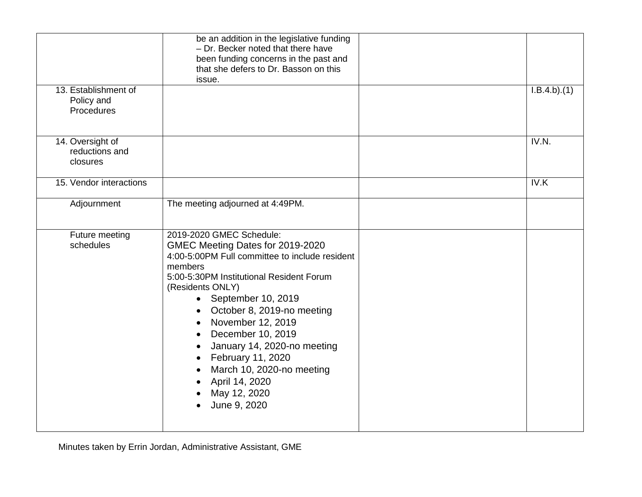|                                                  | be an addition in the legislative funding<br>- Dr. Becker noted that there have<br>been funding concerns in the past and<br>that she defers to Dr. Basson on this<br>issue.                                                                                                                                                                                                                                                  |             |
|--------------------------------------------------|------------------------------------------------------------------------------------------------------------------------------------------------------------------------------------------------------------------------------------------------------------------------------------------------------------------------------------------------------------------------------------------------------------------------------|-------------|
| 13. Establishment of<br>Policy and<br>Procedures |                                                                                                                                                                                                                                                                                                                                                                                                                              | I.B.4.b)(1) |
| 14. Oversight of<br>reductions and<br>closures   |                                                                                                                                                                                                                                                                                                                                                                                                                              | IV.N.       |
| 15. Vendor interactions                          |                                                                                                                                                                                                                                                                                                                                                                                                                              | IV.K        |
| Adjournment                                      | The meeting adjourned at 4:49PM.                                                                                                                                                                                                                                                                                                                                                                                             |             |
| Future meeting<br>schedules                      | 2019-2020 GMEC Schedule:<br>GMEC Meeting Dates for 2019-2020<br>4:00-5:00PM Full committee to include resident<br>members<br>5:00-5:30PM Institutional Resident Forum<br>(Residents ONLY)<br>• September 10, 2019<br>October 8, 2019-no meeting<br>November 12, 2019<br>December 10, 2019<br>January 14, 2020-no meeting<br>February 11, 2020<br>March 10, 2020-no meeting<br>April 14, 2020<br>May 12, 2020<br>June 9, 2020 |             |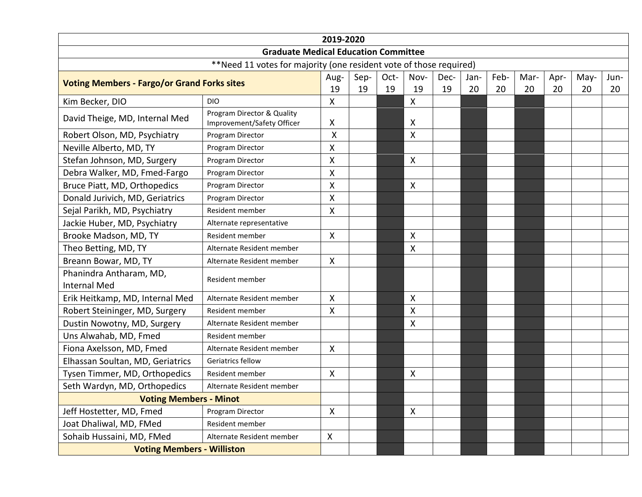| 2019-2020                                                          |                                                          |                           |            |            |                           |            |            |            |            |            |            |            |
|--------------------------------------------------------------------|----------------------------------------------------------|---------------------------|------------|------------|---------------------------|------------|------------|------------|------------|------------|------------|------------|
| <b>Graduate Medical Education Committee</b>                        |                                                          |                           |            |            |                           |            |            |            |            |            |            |            |
| **Need 11 votes for majority (one resident vote of those required) |                                                          |                           |            |            |                           |            |            |            |            |            |            |            |
| <b>Voting Members - Fargo/or Grand Forks sites</b>                 |                                                          | Aug-<br>19                | Sep-<br>19 | Oct-<br>19 | Nov-<br>19                | Dec-<br>19 | Jan-<br>20 | Feb-<br>20 | Mar-<br>20 | Apr-<br>20 | May-<br>20 | Jun-<br>20 |
| Kim Becker, DIO                                                    | <b>DIO</b>                                               | $\pmb{\times}$            |            |            | $\boldsymbol{\mathsf{X}}$ |            |            |            |            |            |            |            |
| David Theige, MD, Internal Med                                     | Program Director & Quality<br>Improvement/Safety Officer | X                         |            |            | X                         |            |            |            |            |            |            |            |
| Robert Olson, MD, Psychiatry                                       | Program Director                                         | Χ                         |            |            | $\boldsymbol{\mathsf{X}}$ |            |            |            |            |            |            |            |
| Neville Alberto, MD, TY                                            | Program Director                                         | X                         |            |            |                           |            |            |            |            |            |            |            |
| Stefan Johnson, MD, Surgery                                        | Program Director                                         | X                         |            |            | $\boldsymbol{\mathsf{X}}$ |            |            |            |            |            |            |            |
| Debra Walker, MD, Fmed-Fargo                                       | Program Director                                         | X                         |            |            |                           |            |            |            |            |            |            |            |
| Bruce Piatt, MD, Orthopedics                                       | Program Director                                         | X                         |            |            | $\boldsymbol{\mathsf{X}}$ |            |            |            |            |            |            |            |
| Donald Jurivich, MD, Geriatrics                                    | Program Director                                         | $\pmb{\mathsf{X}}$        |            |            |                           |            |            |            |            |            |            |            |
| Sejal Parikh, MD, Psychiatry                                       | Resident member                                          | Χ                         |            |            |                           |            |            |            |            |            |            |            |
| Jackie Huber, MD, Psychiatry                                       | Alternate representative                                 |                           |            |            |                           |            |            |            |            |            |            |            |
| Brooke Madson, MD, TY                                              | Resident member                                          | $\mathsf{X}$              |            |            | $\boldsymbol{\mathsf{X}}$ |            |            |            |            |            |            |            |
| Theo Betting, MD, TY                                               | Alternate Resident member                                |                           |            |            | $\boldsymbol{\mathsf{X}}$ |            |            |            |            |            |            |            |
| Breann Bowar, MD, TY                                               | Alternate Resident member                                | $\mathsf{X}$              |            |            |                           |            |            |            |            |            |            |            |
| Phanindra Antharam, MD,<br><b>Internal Med</b>                     | Resident member                                          |                           |            |            |                           |            |            |            |            |            |            |            |
| Erik Heitkamp, MD, Internal Med                                    | Alternate Resident member                                | X                         |            |            | $\boldsymbol{\mathsf{X}}$ |            |            |            |            |            |            |            |
| Robert Steininger, MD, Surgery                                     | Resident member                                          | Χ                         |            |            | $\boldsymbol{\mathsf{X}}$ |            |            |            |            |            |            |            |
| Dustin Nowotny, MD, Surgery                                        | Alternate Resident member                                |                           |            |            | X                         |            |            |            |            |            |            |            |
| Uns Alwahab, MD, Fmed                                              | Resident member                                          |                           |            |            |                           |            |            |            |            |            |            |            |
| Fiona Axelsson, MD, Fmed                                           | Alternate Resident member                                | $\mathsf{X}$              |            |            |                           |            |            |            |            |            |            |            |
| Elhassan Soultan, MD, Geriatrics                                   | Geriatrics fellow                                        |                           |            |            |                           |            |            |            |            |            |            |            |
| Tysen Timmer, MD, Orthopedics                                      | Resident member                                          | X                         |            |            | $\boldsymbol{\mathsf{X}}$ |            |            |            |            |            |            |            |
| Seth Wardyn, MD, Orthopedics                                       | Alternate Resident member                                |                           |            |            |                           |            |            |            |            |            |            |            |
| <b>Voting Members - Minot</b>                                      |                                                          |                           |            |            |                           |            |            |            |            |            |            |            |
| Jeff Hostetter, MD, Fmed                                           | Program Director                                         | $\mathsf{X}$              |            |            | $\boldsymbol{\mathsf{X}}$ |            |            |            |            |            |            |            |
| Joat Dhaliwal, MD, FMed                                            | Resident member                                          |                           |            |            |                           |            |            |            |            |            |            |            |
| Sohaib Hussaini, MD, FMed                                          | Alternate Resident member                                | $\boldsymbol{\mathsf{X}}$ |            |            |                           |            |            |            |            |            |            |            |
| <b>Voting Members - Williston</b>                                  |                                                          |                           |            |            |                           |            |            |            |            |            |            |            |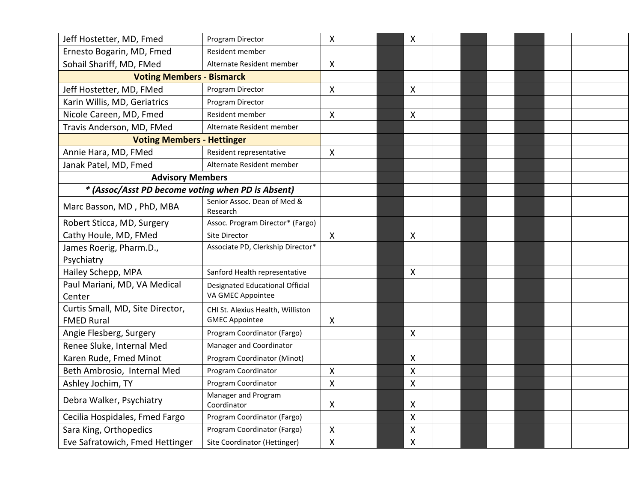| Jeff Hostetter, MD, Fmed                              | Program Director                                            | X            |  | X                         |  |  |  |  |
|-------------------------------------------------------|-------------------------------------------------------------|--------------|--|---------------------------|--|--|--|--|
| Ernesto Bogarin, MD, Fmed                             | Resident member                                             |              |  |                           |  |  |  |  |
| Sohail Shariff, MD, FMed                              | Alternate Resident member                                   | X            |  |                           |  |  |  |  |
| <b>Voting Members - Bismarck</b>                      |                                                             |              |  |                           |  |  |  |  |
| Jeff Hostetter, MD, FMed                              | Program Director                                            | X            |  | $\boldsymbol{\mathsf{X}}$ |  |  |  |  |
| Karin Willis, MD, Geriatrics                          | Program Director                                            |              |  |                           |  |  |  |  |
| Nicole Careen, MD, Fmed                               | Resident member                                             | X            |  | X                         |  |  |  |  |
| Travis Anderson, MD, FMed                             | Alternate Resident member                                   |              |  |                           |  |  |  |  |
| <b>Voting Members - Hettinger</b>                     |                                                             |              |  |                           |  |  |  |  |
| Annie Hara, MD, FMed                                  | Resident representative                                     | X            |  |                           |  |  |  |  |
| Janak Patel, MD, Fmed                                 | Alternate Resident member                                   |              |  |                           |  |  |  |  |
| <b>Advisory Members</b>                               |                                                             |              |  |                           |  |  |  |  |
| * (Assoc/Asst PD become voting when PD is Absent)     |                                                             |              |  |                           |  |  |  |  |
| Marc Basson, MD, PhD, MBA                             | Senior Assoc. Dean of Med &<br>Research                     |              |  |                           |  |  |  |  |
| Robert Sticca, MD, Surgery                            | Assoc. Program Director* (Fargo)                            |              |  |                           |  |  |  |  |
| Cathy Houle, MD, FMed                                 | Site Director                                               | $\mathsf{X}$ |  | $\boldsymbol{\mathsf{X}}$ |  |  |  |  |
| James Roerig, Pharm.D.,<br>Psychiatry                 | Associate PD, Clerkship Director*                           |              |  |                           |  |  |  |  |
| Hailey Schepp, MPA                                    | Sanford Health representative                               |              |  | $\boldsymbol{\mathsf{X}}$ |  |  |  |  |
| Paul Mariani, MD, VA Medical<br>Center                | <b>Designated Educational Official</b><br>VA GMEC Appointee |              |  |                           |  |  |  |  |
| Curtis Small, MD, Site Director,<br><b>FMED Rural</b> | CHI St. Alexius Health, Williston<br><b>GMEC Appointee</b>  | X            |  |                           |  |  |  |  |
| Angie Flesberg, Surgery                               | Program Coordinator (Fargo)                                 |              |  | $\boldsymbol{\mathsf{X}}$ |  |  |  |  |
| Renee Sluke, Internal Med                             | Manager and Coordinator                                     |              |  |                           |  |  |  |  |
| Karen Rude, Fmed Minot                                | Program Coordinator (Minot)                                 |              |  | $\boldsymbol{\mathsf{X}}$ |  |  |  |  |
| Beth Ambrosio, Internal Med                           | Program Coordinator                                         | X            |  | X                         |  |  |  |  |
| Ashley Jochim, TY                                     | Program Coordinator                                         | X            |  | X                         |  |  |  |  |
| Debra Walker, Psychiatry                              | Manager and Program<br>Coordinator                          | X            |  | X                         |  |  |  |  |
| Cecilia Hospidales, Fmed Fargo                        | Program Coordinator (Fargo)                                 |              |  | X                         |  |  |  |  |
| Sara King, Orthopedics                                | Program Coordinator (Fargo)                                 | X            |  | X                         |  |  |  |  |
| Eve Safratowich, Fmed Hettinger                       | Site Coordinator (Hettinger)                                | $\mathsf{X}$ |  | $\boldsymbol{\mathsf{X}}$ |  |  |  |  |